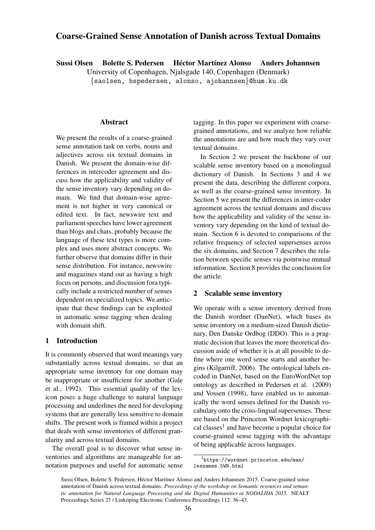# Coarse-Grained Sense Annotation of Danish across Textual Domains

Sussi Olsen Bolette S. Pedersen Héctor Martínez Alonso Anders Johannsen

University of Copenhagen, Njalsgade 140, Copenhagen (Denmark)

{saolsen, bspedersen, alonso, ajohannsen}@hum.ku.dk

# Abstract

We present the results of a coarse-grained sense annotation task on verbs, nouns and adjectives across six textual domains in Danish. We present the domain-wise differences in intercoder agreement and discuss how the applicability and validity of the sense inventory vary depending on domain. We find that domain-wise agreement is not higher in very canonical or edited text. In fact, newswire text and parliament speeches have lower agreement than blogs and chats, probably because the language of these text types is more complex and uses more abstract concepts. We further observe that domains differ in their sense distribution. For instance, newswire and magazines stand out as having a high focus on persons, and discussion fora typically include a restricted number of senses dependent on specialized topics. We anticipate that these findings can be exploited in automatic sense tagging when dealing with domain shift.

#### 1 Introduction

It is commonly observed that word meanings vary substantially across textual domains, so that an appropriate sense inventory for one domain may be inappropriate or insufficient for another (Gale et al., 1992). This essential quality of the lexicon poses a huge challenge to natural language processing and underlines the need for developing systems that are generally less sensitive to domain shifts. The present work is framed within a project that deals with sense inventories of different granularity and across textual domains.

The overall goal is to discover what sense inventories and algorithms are manageable for annotation purposes and useful for automatic sense tagging. In this paper we experiment with coarsegrained annotations, and we analyze how reliable the annotations are and how much they vary over textual domains.

In Section 2 we present the backbone of our scalable sense inventory based on a monolingual dictionary of Danish. In Sections 3 and 4 we present the data, describing the different corpora, as well as the coarse-grained sense inventory. In Section 5 we present the differences in inter-coder agreement across the textual domains and discuss how the applicability and validity of the sense inventory vary depending on the kind of textual domain. Section 6 is devoted to comparisons of the relative frequency of selected supersenses across the six domains, and Section 7 describes the relation between specific senses via pointwise mutual information. Section 8 provides the conclusion for the article.

# 2 Scalable sense inventory

We operate with a sense inventory derived from the Danish wordnet (DanNet), which bases its sense inventory on a medium-sized Danish dictionary, Den Danske Ordbog (DDO). This is a pragmatic decision that leaves the more theoretical discussion aside of whether it is at all possible to define where one word sense starts and another begins (Kilgarriff, 2006). The ontological labels encoded in DanNet, based on the EuroWordNet top ontology as described in Pedersen et al. (2009) and Vossen (1998), have enabled us to automatically the word senses defined for the Danish vocabulary onto the cross-lingual supersenses. These are based on the Princeton Wordnet lexicographical classes<sup>1</sup> and have become a popular choice for coarse-grained sense tagging with the advantage of being applicable across languages.

<sup>1</sup>https://wordnet.princeton.edu/man/ lexnames.5WN.html

Sussi Olsen, Bolette S. Pedersen, Héctor Martínez Alonso and Anders Johannsen 2015. Coarse-grained sense annotation of Danish across textual domains. *Proceedings of the workshop on Semantic resources and semantic annotation for Natural Language Processing and the Digital Humanities at NODALIDA 2015*. NEALT Proceedings Series 27 / Linköping Electronic Conference Proceedings 112: 36–43.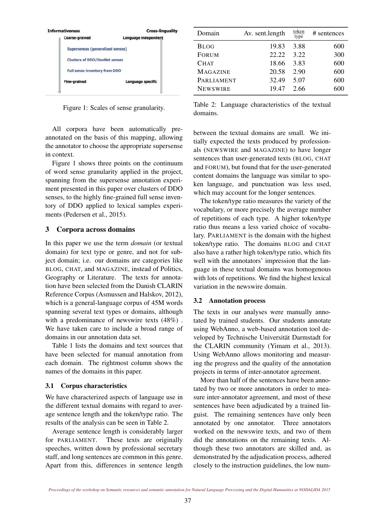| <b>Informativeness</b>               | <b>Cross-linguality</b> |
|--------------------------------------|-------------------------|
| <b>Coarse-grained</b>                | Language independent    |
| Supersenses (generalized senses)     |                         |
| <b>Clusters of DDO/DanNet senses</b> |                         |
| Full sense inventory from DDO        |                         |
| <b>Fine-grained</b>                  | Language specific       |
|                                      |                         |

Figure 1: Scales of sense granularity.

All corpora have been automatically preannotated on the basis of this mapping, allowing the annotator to choose the appropriate supersense in context.

Figure 1 shows three points on the continuum of word sense granularity applied in the project, spanning from the supersense annotation experiment presented in this paper over clusters of DDO senses, to the highly fine-grained full sense inventory of DDO applied to lexical samples experiments (Pedersen et al., 2015).

# 3 Corpora across domains

In this paper we use the term *domain* (or textual domain) for text type or genre, and not for subject domain; i.e. our domains are categories like BLOG, CHAT, and MAGAZINE, instead of Politics, Geography or Literature. The texts for annotation have been selected from the Danish CLARIN Reference Corpus (Asmussen and Halskov, 2012), which is a general-language corpus of 45M words spanning several text types or domains, although with a predominance of newswire texts (48%) . We have taken care to include a broad range of domains in our annotation data set.

Table 1 lists the domains and text sources that have been selected for manual annotation from each domain. The rightmost column shows the names of the domains in this paper.

#### 3.1 Corpus characteristics

We have characterized aspects of language use in the different textual domains with regard to average sentence length and the token/type ratio. The results of the analysis can be seen in Table 2.

Average sentence length is considerably larger for PARLIAMENT. These texts are originally speeches, written down by professional secretary staff, and long sentences are common in this genre. Apart from this, differences in sentence length

| Domain          | Av. sent.length | token<br>type | # sentences |
|-----------------|-----------------|---------------|-------------|
| <b>BLOG</b>     | 19.83           | 3.88          | 600         |
| <b>FORUM</b>    | 22.22           | 3.22          | 300         |
| <b>CHAT</b>     | 18.66           | 3.83          | 600         |
| <b>MAGAZINE</b> | 20.58           | 2.90          | 600         |
| PARLIAMENT      | 32.49           | 5.07          | 600         |
| <b>NEWSWIRE</b> | 19.47           | 2.66          | 600         |

Table 2: Language characteristics of the textual domains.

between the textual domains are small. We initially expected the texts produced by professionals (NEWSWIRE and MAGAZINE) to have longer sentences than user-generated texts (BLOG, CHAT and FORUM), but found that for the user-generated content domains the language was similar to spoken language, and punctuation was less used, which may account for the longer sentences.

The token/type ratio measures the variety of the vocabulary, or more precisely the average number of repetitions of each type. A higher token/type ratio thus means a less varied choice of vocabulary. PARLIAMENT is the domain with the highest token/type ratio. The domains BLOG and CHAT also have a rather high token/type ratio, which fits well with the annotators' impression that the language in these textual domains was homogenous with lots of repetitions. We find the highest lexical variation in the newswire domain.

#### 3.2 Annotation process

The texts in our analyses were manually annotated by trained students. Our students annotate using WebAnno, a web-based annotation tool developed by Technische Universität Darmstadt for the CLARIN community (Yimam et al., 2013). Using WebAnno allows monitoring and measuring the progress and the quality of the annotation projects in terms of inter-annotator agreement.

More than half of the sentences have been annotated by two or more annotators in order to measure inter-annotator agreement, and most of these sentences have been adjudicated by a trained linguist. The remaining sentences have only been annotated by one annotator. Three annotators worked on the newswire texts, and two of them did the annotations on the remaining texts. Although these two annotators are skilled and, as demonstrated by the adjudication process, adhered closely to the instruction guidelines, the low num-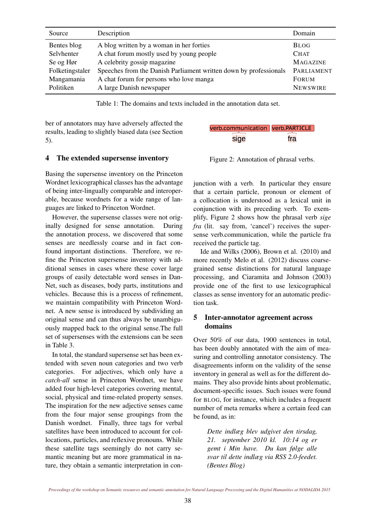| Source          | Description                                                       | Domain          |
|-----------------|-------------------------------------------------------------------|-----------------|
| Bentes blog     | A blog written by a woman in her forties                          | <b>BLOG</b>     |
| Selvhenter      | A chat forum mostly used by young people                          | <b>CHAT</b>     |
| Se og Hør       | A celebrity gossip magazine                                       | <b>MAGAZINE</b> |
| Folketingstaler | Speeches from the Danish Parliament written down by professionals | PARLIAMENT      |
| Mangamania      | A chat forum for persons who love manga                           | <b>FORUM</b>    |
| Politiken       | A large Danish newspaper                                          | <b>NEWSWIRE</b> |

Table 1: The domains and texts included in the annotation data set.

ber of annotators may have adversely affected the results, leading to slightly biased data (see Section 5).

#### 4 The extended supersense inventory

Basing the supersense inventory on the Princeton Wordnet lexicographical classes has the advantage of being inter-lingually comparable and interoperable, because wordnets for a wide range of languages are linked to Princeton Wordnet.

However, the supersense classes were not originally designed for sense annotation. During the annotation process, we discovered that some senses are needlessly coarse and in fact confound important distinctions. Therefore, we refine the Princeton supersense inventory with additional senses in cases where these cover large groups of easily detectable word senses in Dan-Net, such as diseases, body parts, institutions and vehicles. Because this is a process of refinement, we maintain compatibility with Princeton Wordnet. A new sense is introduced by subdividing an original sense and can thus always be unambiguously mapped back to the original sense.The full set of supersenses with the extensions can be seen in Table 3.

In total, the standard supersense set has been extended with seven noun categories and two verb categories. For adjectives, which only have a *catch-all* sense in Princeton Wordnet, we have added four high-level categories covering mental, social, physical and time-related property senses. The inspiration for the new adjective senses came from the four major sense groupings from the Danish wordnet. Finally, three tags for verbal satellites have been introduced to account for collocations, particles, and reflexive pronouns. While these satellite tags seemingly do not carry semantic meaning but are more grammatical in nature, they obtain a semantic interpretation in con-

| verb.communication verb.PARTICLE |     |
|----------------------------------|-----|
| sige                             | fra |

Figure 2: Annotation of phrasal verbs.

junction with a verb. In particular they ensure that a certain particle, pronoun or element of a collocation is understood as a lexical unit in conjunction with its preceding verb. To exemplify, Figure 2 shows how the phrasal verb *sige fra* (lit. say from, 'cancel') receives the supersense verb.communication, while the particle fra received the particle tag.

Ide and Wilks (2006), Brown et al. (2010) and more recently Melo et al. (2012) discuss coarsegrained sense distinctions for natural language processing, and Ciaramita and Johnson (2003) provide one of the first to use lexicographical classes as sense inventory for an automatic prediction task.

# 5 Inter-annotator agreement across domains

Over 50% of our data, 1900 sentences in total, has been doubly annotated with the aim of measuring and controlling annotator consistency. The disagreements inform on the validity of the sense inventory in general as well as for the different domains. They also provide hints about problematic, document-specific issues. Such issues were found for BLOG, for instance, which includes a frequent number of meta remarks where a certain feed can be found, as in:

*Dette indlæg blev udgivet den tirsdag, 21. september 2010 kl. 10:14 og er gemt i Min have. Du kan følge alle svar til dette indlæg via RSS 2.0-feedet. (Bentes Blog)*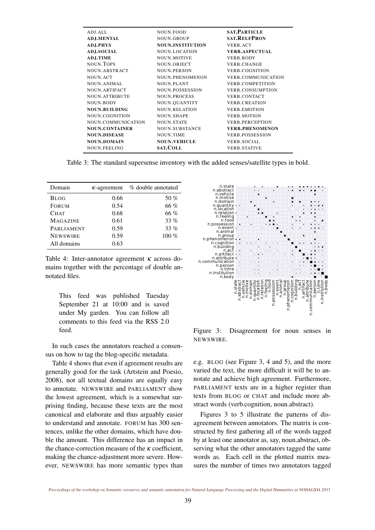| ADJ.ALL               | NOUN.FOOD               | <b>SAT. PARTICLE</b>      |
|-----------------------|-------------------------|---------------------------|
| <b>ADJ.MENTAL</b>     | <b>NOUN.GROUP</b>       | <b>SAT.RELFPRON</b>       |
| <b>ADJ.PHYS</b>       | <b>NOUN.INSTITUTION</b> | VERB.ACT                  |
| <b>ADJ.SOCIAL</b>     | NOUN.LOCATION           | <b>VERB.ASPECTUAL</b>     |
| ADJ.TIME              | <b>NOUN.MOTIVE</b>      | <b>VERB.BODY</b>          |
| NOUN. TOPS            | NOUN.OBJECT             | VERB.CHANGE               |
| NOUN.ABSTRACT         | <b>NOUN.PERSON</b>      | <b>VERB.COGNITION</b>     |
| NOUN.ACT              | <b>NOUN.PHENOMENON</b>  | <b>VERB.COMMUNICATION</b> |
| <b>NOUN.ANIMAL</b>    | <b>NOUN.PLANT</b>       | <b>VERB.COMPETITION</b>   |
| NOUN.ARTIFACT         | <b>NOUN.POSSESSION</b>  | <b>VERB.CONSUMPTION</b>   |
| <b>NOUN.ATTRIBUTE</b> | <b>NOUN.PROCESS</b>     | <b>VERB.CONTACT</b>       |
| NOUN.BODY             | NOUN.QUANTITY           | <b>VERB.CREATION</b>      |
| <b>NOUN.BUILDING</b>  | <b>NOUN.RELATION</b>    | <b>VERB.EMOTION</b>       |
| NOUN.COGNITION        | <b>NOUN.SHAPE</b>       | <b>VERB.MOTION</b>        |
| NOUN.COMMUNICATION    | <b>NOUN.STATE</b>       | <b>VERB.PERCEPTION</b>    |
| <b>NOUN.CONTAINER</b> | NOUN.SUBSTANCE          | <b>VERB.PHENOMENON</b>    |
| <b>NOUN.DISEASE</b>   | <b>NOUN.TIME</b>        | <b>VERB.POSSESSION</b>    |
| <b>NOUN.DOMAIN</b>    | <b>NOUN.VEHICLE</b>     | <b>VERB.SOCIAL</b>        |
| NOUN.FEELING          | <b>SAT.COLL</b>         | <b>VERB.STATIVE</b>       |

Table 3: The standard supersense inventory with the added senses/satellite types in bold.

| Domain            | $K$ -agreement | % double annotated |
|-------------------|----------------|--------------------|
| <b>BLOG</b>       | 0.66           | 50 $%$             |
| <b>FORUM</b>      | 0.54           | 66 %               |
| CHAT              | 0.68           | 66 %               |
| <b>MAGAZINE</b>   | 0.61           | 33%                |
| <b>PARLIAMENT</b> | 0.59           | $33\%$             |
| <b>NEWSWIRE</b>   | 0.59           | $100\%$            |
| All domains       | 0.63           |                    |

Table 4: Inter-annotator agreement  $\kappa$  across domains together with the percentage of double annotated files.

This feed was published Tuesday September 21 at 10:00 and is saved under My garden. You can follow all comments to this feed via the RSS 2.0 feed.

In such cases the annotators reached a consensus on how to tag the blog-specific metadata.

Table 4 shows that even if agreement results are generally good for the task (Artstein and Poesio, 2008), not all textual domains are equally easy to annotate. NEWSWIRE and PARLIAMENT show the lowest agreement, which is a somewhat surprising finding, because these texts are the most canonical and elaborate and thus arguably easier to understand and annotate. FORUM has 300 sentences, unlike the other domains, which have double the amount. This difference has an impact in the chance-correction measure of the  $\kappa$  coefficient, making the chance-adjustment more severe. However, NEWSWIRE has more semantic types than



Figure 3: Disagreement for noun senses in NEWSWIRE.

e.g. BLOG (see Figure 3, 4 and 5), and the more varied the text, the more difficult it will be to annotate and achieve high agreement. Furthermore, PARLIAMENT texts are in a higher register than texts from BLOG or CHAT and include more abstract words (verb.cognition, noun.abstract).

Figures 3 to 5 illustrate the patterns of disagreement between annotators. The matrix is constructed by first gathering all of the words tagged by at least one annotator as, say, noun.abstract, observing what the other annotators tagged the same words as. Each cell in the plotted matrix measures the number of times two annotators tagged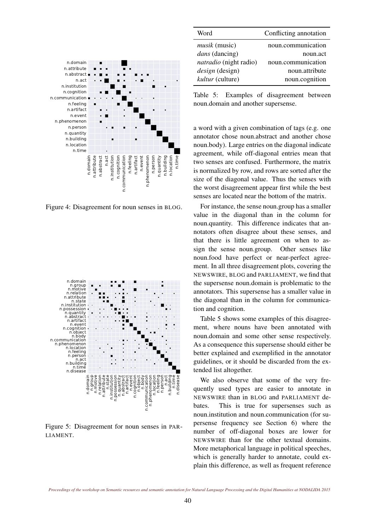

Figure 4: Disagreement for noun senses in BLOG.



Figure 5: Disagreement for noun senses in PAR-LIAMENT.

| Word                          | Conflicting annotation |
|-------------------------------|------------------------|
| <i>musik</i> (music)          | noun.communication     |
| dans (dancing)                | noun.act               |
| <i>natradio</i> (night radio) | noun.communication     |
| <i>design</i> (design)        | noun.attribute         |
| kultur (culture)              | noun.cognition         |

Table 5: Examples of disagreement between noun.domain and another supersense.

a word with a given combination of tags (e.g. one annotator chose noun.abstract and another chose noun.body). Large entries on the diagonal indicate agreement, while off-diagonal entries mean that two senses are confused. Furthermore, the matrix is normalized by row, and rows are sorted after the size of the diagonal value. Thus the senses with the worst disagreement appear first while the best senses are located near the bottom of the matrix.

For instance, the sense noun.group has a smaller value in the diagonal than in the column for noun.quantity. This difference indicates that annotators often disagree about these senses, and that there is little agreement on when to assign the sense noun.group. Other senses like noun.food have perfect or near-perfect agreement. In all three disagreement plots, covering the NEWSWIRE, BLOG and PARLIAMENT, we find that the supersense noun.domain is problematic to the annotators. This supersense has a smaller value in the diagonal than in the column for communication and cognition.

Table 5 shows some examples of this disagreement, where nouns have been annotated with noun.domain and some other sense respectively. As a consequence this supersense should either be better explained and exemplified in the annotator guidelines, or it should be discarded from the extended list altogether.

We also observe that some of the very frequently used types are easier to annotate in NEWSWIRE than in BLOG and PARLIAMENT debates. This is true for supersenses such as noun.institution and noun.communication (for supersense frequency see Section 6) where the number of off-diagonal boxes are lower for NEWSWIRE than for the other textual domains. More metaphorical language in political speeches, which is generally harder to annotate, could explain this difference, as well as frequent reference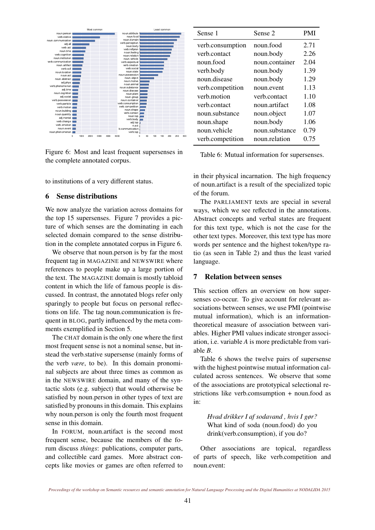

Figure 6: Most and least frequent supersenses in the complete annotated corpus.

to institutions of a very different status.

## 6 Sense distributions

We now analyze the variation across domains for the top 15 supersenses. Figure 7 provides a picture of which senses are the dominating in each selected domain compared to the sense distribution in the complete annotated corpus in Figure 6.

We observe that noun.person is by far the most frequent tag in MAGAZINE and NEWSWIRE where references to people make up a large portion of the text. The MAGAZINE domain is mostly tabloid content in which the life of famous people is discussed. In contrast, the annotated blogs refer only sparingly to people but focus on personal reflections on life. The tag noun.communication is frequent in BLOG, partly influenced by the meta comments exemplified in Section 5.

The CHAT domain is the only one where the first most frequent sense is not a nominal sense, but instead the verb.stative supersense (mainly forms of the verb *være*, to be). In this domain pronominal subjects are about three times as common as in the NEWSWIRE domain, and many of the syntactic slots (e.g. subject) that would otherwise be satisfied by noun.person in other types of text are satisfied by pronouns in this domain. This explains why noun.person is only the fourth most frequent sense in this domain.

In FORUM, noun.artifact is the second most frequent sense, because the members of the forum discuss *things*: publications, computer parts, and collectible card games. More abstract concepts like movies or games are often referred to

| Sense 1          | Sense 2        | PMI  |
|------------------|----------------|------|
| verb.consumption | noun.food      | 2.71 |
| verb.contact     | noun.body      | 2.26 |
| noun.food        | noun.container | 2.04 |
| verb.body        | noun.body      | 1.39 |
| noun disease     | noun.body      | 1.29 |
| verb.competition | noun.event     | 1.13 |
| verb motion      | verb.contact   | 1.10 |
| verb.contact     | noun artifact  | 1.08 |
| noun substance   | noun.object    | 1.07 |
| noun.shape       | noun.body      | 1.06 |
| noun.vehicle     | noun.substance | 0.79 |
| verb.competition | noun.relation  | 0.75 |

Table 6: Mutual information for supersenses.

in their physical incarnation. The high frequency of noun.artifact is a result of the specialized topic of the forum.

The PARLIAMENT texts are special in several ways, which we see reflected in the annotations. Abstract concepts and verbal states are frequent for this text type, which is not the case for the other text types. Moreover, this text type has more words per sentence and the highest token/type ratio (as seen in Table 2) and thus the least varied language.

#### 7 Relation between senses

This section offers an overview on how supersenses co-occur. To give account for relevant associations between senses, we use PMI (pointwise mutual information), which is an informationtheoretical measure of association between variables. Higher PMI values indicate stronger association, i.e. variable *A* is more predictable from variable *B*.

Table 6 shows the twelve pairs of supersense with the highest pointwise mutual information calculated across sentences. We observe that some of the associations are prototypical selectional restrictions like verb.comsumption + noun.food as in:

*Hvad drikker I af sodavand , hvis I gør?* What kind of soda (noun.food) do you drink(verb.consumption), if you do?

Other associations are topical, regardless of parts of speech, like verb.competition and noun.event: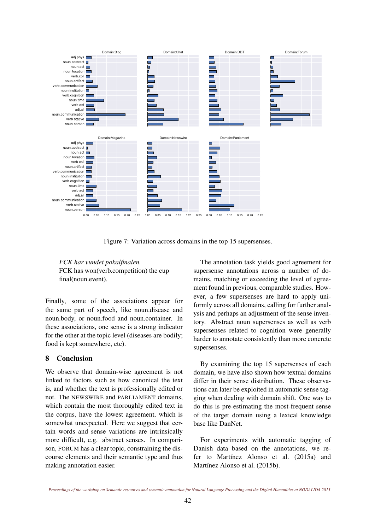

Figure 7: Variation across domains in the top 15 supersenses.

*FCK har vundet pokalfinalen.* FCK has won(verb.competition) the cup final(noun.event).

Finally, some of the associations appear for the same part of speech, like noun.disease and noun.body, or noun.food and noun.container. In these associations, one sense is a strong indicator for the other at the topic level (diseases are bodily; food is kept somewhere, etc).

# 8 Conclusion

We observe that domain-wise agreement is not linked to factors such as how canonical the text is, and whether the text is professionally edited or not. The NEWSWIRE and PARLIAMENT domains, which contain the most thoroughly edited text in the corpus, have the lowest agreement, which is somewhat unexpected. Here we suggest that certain words and sense variations are intrinsically more difficult, e.g. abstract senses. In comparison, FORUM has a clear topic, constraining the discourse elements and their semantic type and thus making annotation easier.

The annotation task yields good agreement for supersense annotations across a number of domains, matching or exceeding the level of agreement found in previous, comparable studies. However, a few supersenses are hard to apply uniformly across all domains, calling for further analysis and perhaps an adjustment of the sense inventory. Abstract noun supersenses as well as verb supersenses related to cognition were generally harder to annotate consistently than more concrete supersenses.

By examining the top 15 supersenses of each domain, we have also shown how textual domains differ in their sense distribution. These observations can later be exploited in automatic sense tagging when dealing with domain shift. One way to do this is pre-estimating the most-frequent sense of the target domain using a lexical knowledge base like DanNet.

For experiments with automatic tagging of Danish data based on the annotations, we refer to Martínez Alonso et al. (2015a) and Martínez Alonso et al. (2015b).